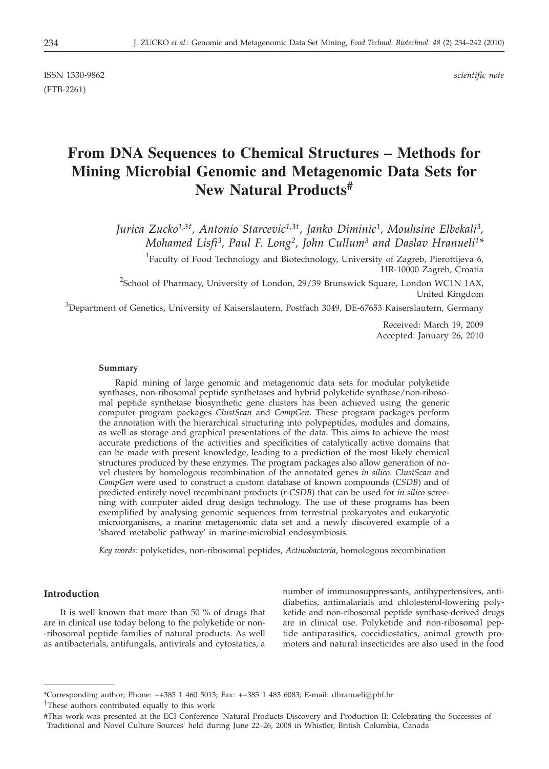ISSN 1330-9862 *scientific note* (FTB-2261)

# **From DNA Sequences to Chemical Structures – Methods for Mining Microbial Genomic and Metagenomic Data Sets for New Natural Products#**

*Jurica Zucko1,3†, Antonio Starcevic1,3†, Janko Diminic1, Mouhsine Elbekali3, Mohamed Lisfi3, Paul F. Long2, John Cullum3 and Daslav Hranueli1\**

<sup>1</sup>Faculty of Food Technology and Biotechnology, University of Zagreb, Pierottijeva 6, HR-10000 Zagreb, Croatia

<sup>2</sup>School of Pharmacy, University of London, 29/39 Brunswick Square, London WC1N 1AX, United Kingdom

 $^3$ Department of Genetics, University of Kaiserslautern, Postfach 3049, DE-67653 Kaiserslautern, Germany

Received: March 19, 2009 Accepted: January 26, 2010

### **Summary**

Rapid mining of large genomic and metagenomic data sets for modular polyketide synthases, non-ribosomal peptide synthetases and hybrid polyketide synthase/non-ribosomal peptide synthetase biosynthetic gene clusters has been achieved using the generic computer program packages *ClustScan* and *CompGen*. These program packages perform the annotation with the hierarchical structuring into polypeptides, modules and domains, as well as storage and graphical presentations of the data. This aims to achieve the most accurate predictions of the activities and specificities of catalytically active domains that can be made with present knowledge, leading to a prediction of the most likely chemical structures produced by these enzymes. The program packages also allow generation of novel clusters by homologous recombination of the annotated genes *in silico. ClustScan* and *CompGen* were used to construct a custom database of known compounds (*CSDB*) and of predicted entirely novel recombinant products (*r-CSDB*) that can be used for *in silico* screening with computer aided drug design technology. The use of these programs has been exemplified by analysing genomic sequences from terrestrial prokaryotes and eukaryotic microorganisms, a marine metagenomic data set and a newly discovered example of a 'shared metabolic pathway' in marine-microbial endosymbiosis.

*Key words*: polyketides, non-ribosomal peptides, *Actinobacteria*, homologous recombination

# **Introduction**

It is well known that more than 50 % of drugs that are in clinical use today belong to the polyketide or non- -ribosomal peptide families of natural products. As well as antibacterials, antifungals, antivirals and cytostatics, a

number of immunosuppressants, antihypertensives, antidiabetics, antimalarials and chlolesterol-lowering polyketide and non-ribosomal peptide synthase-derived drugs are in clinical use. Polyketide and non-ribosomal peptide antiparasitics, coccidiostatics, animal growth promoters and natural insecticides are also used in the food

<sup>\*</sup>Corresponding author; Phone: ++385 1 460 5013; Fax: ++385 1 483 6083; E-mail: dhranueli@pbf.hr

<sup>†</sup>These authors contributed equally to this work

<sup>#</sup>This work was presented at the ECI Conference 'Natural Products Discovery and Production II: Celebrating the Successes of Traditional and Novel Culture Sources' held during June 22–26, 2008 in Whistler, British Columbia, Canada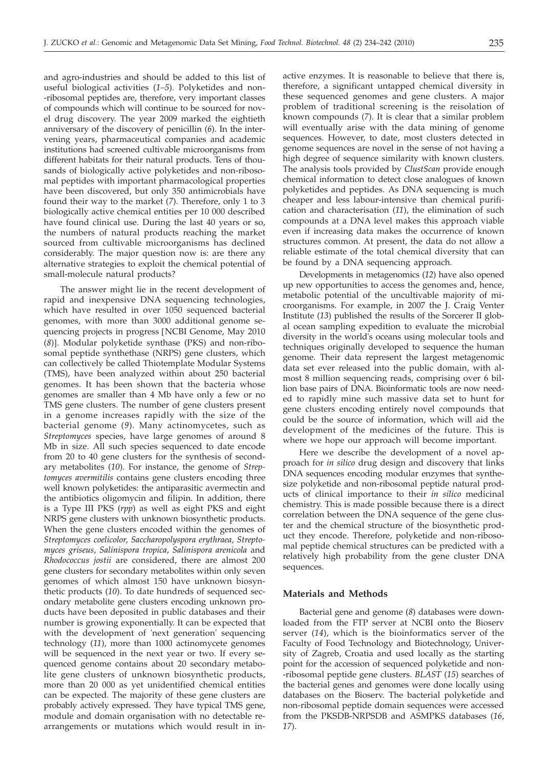and agro-industries and should be added to this list of useful biological activities (*1–5*). Polyketides and non- -ribosomal peptides are, therefore, very important classes of compounds which will continue to be sourced for novel drug discovery. The year 2009 marked the eightieth anniversary of the discovery of penicillin (*6*). In the intervening years, pharmaceutical companies and academic institutions had screened cultivable microorganisms from different habitats for their natural products. Tens of thousands of biologically active polyketides and non-ribosomal peptides with important pharmacological properties have been discovered, but only 350 antimicrobials have found their way to the market (*7*). Therefore, only 1 to 3 biologically active chemical entities per 10 000 described have found clinical use. During the last 40 years or so, the numbers of natural products reaching the market sourced from cultivable microorganisms has declined considerably. The major question now is: are there any alternative strategies to exploit the chemical potential of small-molecule natural products?

The answer might lie in the recent development of rapid and inexpensive DNA sequencing technologies, which have resulted in over 1050 sequenced bacterial genomes, with more than 3000 additional genome sequencing projects in progress [NCBI Genome, May 2010 (*8*)]. Modular polyketide synthase (PKS) and non-ribosomal peptide synthethase (NRPS) gene clusters, which can collectively be called Thiotemplate Modular Systems (TMS), have been analyzed within about 250 bacterial genomes. It has been shown that the bacteria whose genomes are smaller than 4 Mb have only a few or no TMS gene clusters. The number of gene clusters present in a genome increases rapidly with the size of the bacterial genome (*9*). Many actinomycetes, such as *Streptomyces* species, have large genomes of around 8 Mb in size. All such species sequenced to date encode from 20 to 40 gene clusters for the synthesis of secondary metabolites (*10*). For instance, the genome of *Streptomyces avermitilis* contains gene clusters encoding three well known polyketides: the antiparasitic avermectin and the antibiotics oligomycin and filipin. In addition, there is a Type III PKS (*rpp*) as well as eight PKS and eight NRPS gene clusters with unknown biosynthetic products. When the gene clusters encoded within the genomes of *Streptomyces coelicolor*, *Saccharopolyspora erythraea*, *Streptomyces griseus*, *Salinispora tropica*, *Salinispora arenicola* and *Rhodococcus jostii* are considered, there are almost 200 gene clusters for secondary metabolites within only seven genomes of which almost 150 have unknown biosynthetic products (*10*). To date hundreds of sequenced secondary metabolite gene clusters encoding unknown products have been deposited in public databases and their number is growing exponentially. It can be expected that with the development of 'next generation' sequencing technology (*11*), more than 1000 actinomycete genomes will be sequenced in the next year or two. If every sequenced genome contains about 20 secondary metabolite gene clusters of unknown biosynthetic products, more than 20 000 as yet unidentified chemical entities can be expected. The majority of these gene clusters are probably actively expressed. They have typical TMS gene, module and domain organisation with no detectable rearrangements or mutations which would result in in-

active enzymes. It is reasonable to believe that there is, therefore, a significant untapped chemical diversity in these sequenced genomes and gene clusters. A major problem of traditional screening is the reisolation of known compounds (*7*). It is clear that a similar problem will eventually arise with the data mining of genome sequences. However, to date, most clusters detected in genome sequences are novel in the sense of not having a high degree of sequence similarity with known clusters. The analysis tools provided by *ClustScan* provide enough chemical information to detect close analogues of known polyketides and peptides. As DNA sequencing is much cheaper and less labour-intensive than chemical purification and characterisation (*11*), the elimination of such compounds at a DNA level makes this approach viable even if increasing data makes the occurrence of known structures common. At present, the data do not allow a reliable estimate of the total chemical diversity that can be found by a DNA sequencing approach.

Developments in metagenomics (*12*) have also opened up new opportunities to access the genomes and, hence, metabolic potential of the uncultivable majority of microorganisms. For example, in 2007 the J. Craig Venter Institute (*13*) published the results of the Sorcerer II global ocean sampling expedition to evaluate the microbial diversity in the world's oceans using molecular tools and techniques originally developed to sequence the human genome. Their data represent the largest metagenomic data set ever released into the public domain, with almost 8 million sequencing reads, comprising over 6 billion base pairs of DNA. Bioinformatic tools are now needed to rapidly mine such massive data set to hunt for gene clusters encoding entirely novel compounds that could be the source of information, which will aid the development of the medicines of the future. This is where we hope our approach will become important.

Here we describe the development of a novel approach for *in silico* drug design and discovery that links DNA sequences encoding modular enzymes that synthesize polyketide and non-ribosomal peptide natural products of clinical importance to their *in silico* medicinal chemistry. This is made possible because there is a direct correlation between the DNA sequence of the gene cluster and the chemical structure of the biosynthetic product they encode. Therefore, polyketide and non-ribosomal peptide chemical structures can be predicted with a relatively high probability from the gene cluster DNA sequences.

### **Materials and Methods**

Bacterial gene and genome (*8*) databases were downloaded from the FTP server at NCBI onto the Bioserv server (*14*), which is the bioinformatics server of the Faculty of Food Technology and Biotechnology, University of Zagreb, Croatia and used locally as the starting point for the accession of sequenced polyketide and non- -ribosomal peptide gene clusters. *BLAST* (*15*) searches of the bacterial genes and genomes were done locally using databases on the Bioserv. The bacterial polyketide and non-ribosomal peptide domain sequences were accessed from the PKSDB-NRPSDB and ASMPKS databases (*16*, *17*).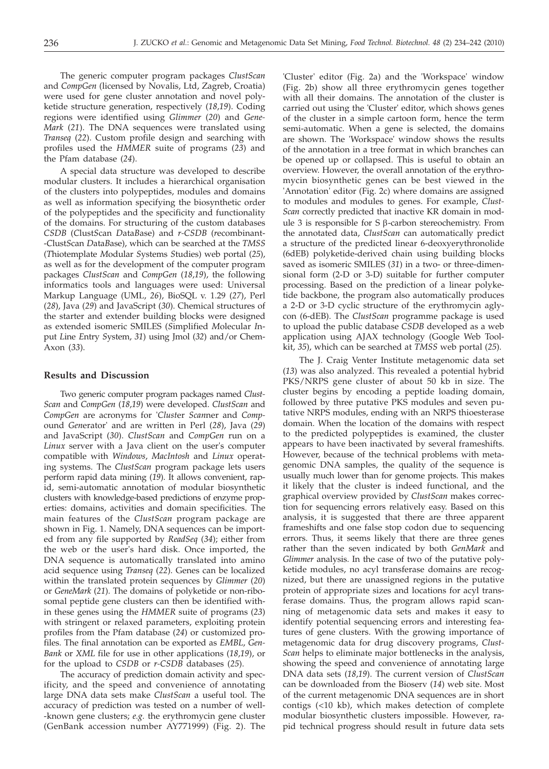The generic computer program packages *ClustScan* and *CompGen* (licensed by Novalis, Ltd, Zagreb, Croatia) were used for gene cluster annotation and novel polyketide structure generation, respectively (*18*,*19*). Coding regions were identified using *Glimmer* (*20*) and *Gene-Mark* (*21*). The DNA sequences were translated using *Transeq* (*22*). Custom profile design and searching with profiles used the *HMMER* suite of programs (*23*) and the Pfam database (*24*).

A special data structure was developed to describe modular clusters. It includes a hierarchical organisation of the clusters into polypeptides, modules and domains as well as information specifying the biosynthetic order of the polypeptides and the specificity and functionality of the domains. For structuring of the custom databases *CSDB* (*C*lust*S*can *D*ata*B*ase) and *r-CSDB* (*r*ecombinant- -*C*lust*S*can *D*ata*B*ase), which can be searched at the *TMSS* (*T*hiotemplate *M*odular *S*ystems *S*tudies) web portal (*25*), as well as for the development of the computer program packages *ClustScan* and *CompGen* (*18*,*19*), the following informatics tools and languages were used: Universal Markup Language (UML, *26*), BioSQL v. 1.29 (*27*), Perl (*28*), Java (*29*) and JavaScript (*30*). Chemical structures of the starter and extender building blocks were designed as extended isomeric SMILES (*S*implified *M*olecular *I*nput *L*ine *E*ntry *S*ystem, *31*) using Jmol (*32*) and/or Chem-Axon (*33*).

### **Results and Discussion**

Two generic computer program packages named *Clust-Scan* and *CompGen* (*18*,*19*) were developed. *ClustScan* and *CompGen* are acronyms for '*Clust*er *Scan*ner and *Comp*ound *Gen*erator' and are written in Perl (*28*), Java (*29*) and JavaScript (*30*). *ClustScan* and *CompGen* run on a *Linux* server with a Java client on the user's computer compatible with *Windows*, *MacIntosh* and *Linux* operating systems. The *ClustScan* program package lets users perform rapid data mining (*19*). It allows convenient, rapid, semi-automatic annotation of modular biosynthetic clusters with knowledge-based predictions of enzyme properties: domains, activities and domain specificities. The main features of the *ClustScan* program package are shown in Fig. 1. Namely, DNA sequences can be imported from any file supported by *ReadSeq* (*34*); either from the web or the user's hard disk. Once imported, the DNA sequence is automatically translated into amino acid sequence using *Transeq* (*22*). Genes can be localized within the translated protein sequences by *Glimmer* (*20*) or *GeneMark* (*21*). The domains of polyketide or non-ribosomal peptide gene clusters can then be identified within these genes using the *HMMER* suite of programs (*23*) with stringent or relaxed parameters, exploiting protein profiles from the Pfam database (*24*) or customized profiles. The final annotation can be exported as *EMBL*, *Gen-Bank* or *XML* file for use in other applications (*18*,*19*), or for the upload to *CSDB* or *r-CSDB* databases (*25*).

The accuracy of prediction domain activity and specificity, and the speed and convenience of annotating large DNA data sets make *ClustScan* a useful tool. The accuracy of prediction was tested on a number of well- -known gene clusters; *e.g.* the erythromycin gene cluster (GenBank accession number AY771999) (Fig. 2). The

'Cluster' editor (Fig. 2a) and the 'Workspace' window (Fig. 2b) show all three erythromycin genes together with all their domains. The annotation of the cluster is carried out using the 'Cluster' editor, which shows genes of the cluster in a simple cartoon form, hence the term semi-automatic. When a gene is selected, the domains are shown. The 'Workspace' window shows the results of the annotation in a tree format in which branches can be opened up or collapsed. This is useful to obtain an overview. However, the overall annotation of the erythromycin biosynthetic genes can be best viewed in the 'Annotation' editor (Fig. 2c) where domains are assigned to modules and modules to genes. For example, *Clust-Scan* correctly predicted that inactive KR domain in module 3 is responsible for S b-carbon stereochemistry. From the annotated data, *ClustScan* can automatically predict a structure of the predicted linear 6-deoxyerythronolide (6dEB) polyketide-derived chain using building blocks saved as isomeric SMILES (*31*) in a two- or three-dimensional form (2-D or 3-D) suitable for further computer processing. Based on the prediction of a linear polyketide backbone, the program also automatically produces a 2-D or 3-D cyclic structure of the erythromycin aglycon (6-dEB). The *ClustScan* programme package is used to upload the public database *CSDB* developed as a web application using AJAX technology (Google Web Toolkit, *35*), which can be searched at *TMSS* web portal (*25*).

The J. Craig Venter Institute metagenomic data set (*13*) was also analyzed. This revealed a potential hybrid PKS/NRPS gene cluster of about 50 kb in size. The cluster begins by encoding a peptide loading domain, followed by three putative PKS modules and seven putative NRPS modules, ending with an NRPS thioesterase domain. When the location of the domains with respect to the predicted polypeptides is examined, the cluster appears to have been inactivated by several frameshifts. However, because of the technical problems with metagenomic DNA samples, the quality of the sequence is usually much lower than for genome projects. This makes it likely that the cluster is indeed functional, and the graphical overview provided by *ClustScan* makes correction for sequencing errors relatively easy. Based on this analysis, it is suggested that there are three apparent frameshifts and one false stop codon due to sequencing errors. Thus, it seems likely that there are three genes rather than the seven indicated by both *GenMark* and *Glimmer* analysis. In the case of two of the putative polyketide modules, no acyl transferase domains are recognized, but there are unassigned regions in the putative protein of appropriate sizes and locations for acyl transferase domains. Thus, the program allows rapid scanning of metagenomic data sets and makes it easy to identify potential sequencing errors and interesting features of gene clusters. With the growing importance of metagenomic data for drug discovery programs, *Clust-Scan* helps to eliminate major bottlenecks in the analysis, showing the speed and convenience of annotating large DNA data sets (*18*,*19*). The current version of *ClustScan* can be downloaded from the Bioserv (*14*) web site. Most of the current metagenomic DNA sequences are in short contigs (<10 kb), which makes detection of complete modular biosynthetic clusters impossible. However, rapid technical progress should result in future data sets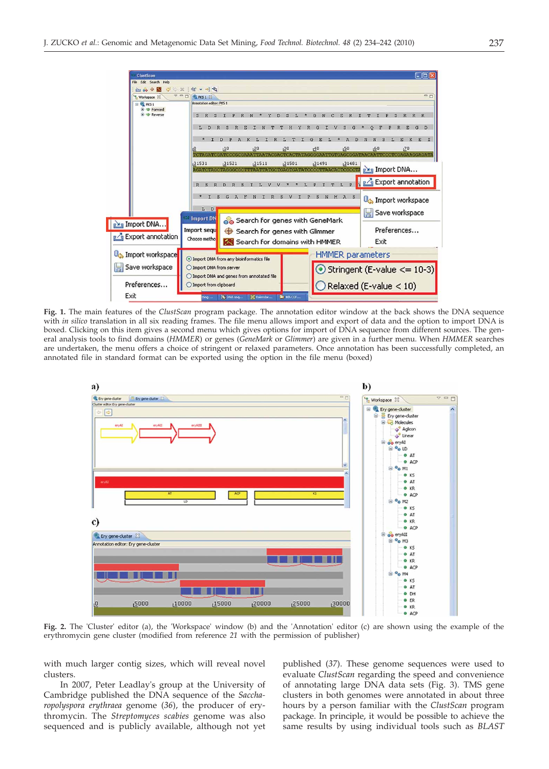

**Fig. 1.** The main features of the *ClustScan* program package. The annotation editor window at the back shows the DNA sequence with *in silico* translation in all six reading frames. The file menu allows import and export of data and the option to import DNA is boxed. Clicking on this item gives a second menu which gives options for import of DNA sequence from different sources. The general analysis tools to find domains (*HMMER*) or genes (*GeneMark* or *Glimmer*) are given in a further menu. When *HMMER* searches are undertaken, the menu offers a choice of stringent or relaxed parameters. Once annotation has been successfully completed, an annotated file in standard format can be exported using the option in the file menu (boxed)



**Fig. 2.** The 'Cluster' editor (a), the 'Workspace' window (b) and the 'Annotation' editor (c) are shown using the example of the erythromycin gene cluster (modified from reference *21* with the permission of publisher)

with much larger contig sizes, which will reveal novel clusters.

In 2007, Peter Leadlay's group at the University of Cambridge published the DNA sequence of the *Saccharopolyspora erythraea* genome (*36*), the producer of erythromycin. The *Streptomyces scabies* genome was also sequenced and is publicly available, although not yet published (*37*). These genome sequences were used to evaluate *ClustScan* regarding the speed and convenience of annotating large DNA data sets (Fig. 3). TMS gene clusters in both genomes were annotated in about three hours by a person familiar with the *ClustScan* program package. In principle, it would be possible to achieve the same results by using individual tools such as *BLAST*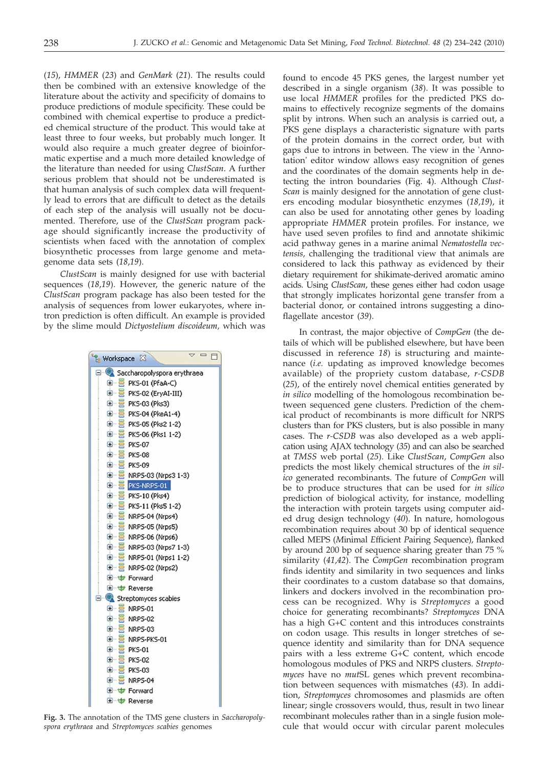(*15*), *HMMER* (*23*) and *GenMark* (*21*). The results could then be combined with an extensive knowledge of the literature about the activity and specificity of domains to produce predictions of module specificity. These could be combined with chemical expertise to produce a predicted chemical structure of the product. This would take at least three to four weeks, but probably much longer. It would also require a much greater degree of bioinformatic expertise and a much more detailed knowledge of the literature than needed for using *ClustScan*. A further serious problem that should not be underestimated is that human analysis of such complex data will frequently lead to errors that are difficult to detect as the details of each step of the analysis will usually not be documented. Therefore, use of the *ClustScan* program package should significantly increase the productivity of scientists when faced with the annotation of complex biosynthetic processes from large genome and metagenome data sets (*18*,*19*).

*ClustScan* is mainly designed for use with bacterial sequences (*18*,*19*). However, the generic nature of the *ClustScan* program package has also been tested for the analysis of sequences from lower eukaryotes, where intron prediction is often difficult. An example is provided by the slime mould *Dictyostelium discoideum,* which was



**Fig. 3.** The annotation of the TMS gene clusters in *Saccharopolyspora erythraea* and *Streptomyces scabies* genomes

found to encode 45 PKS genes, the largest number yet described in a single organism (*38*). It was possible to use local *HMMER* profiles for the predicted PKS domains to effectively recognize segments of the domains split by introns. When such an analysis is carried out, a PKS gene displays a characteristic signature with parts of the protein domains in the correct order, but with gaps due to introns in between. The view in the 'Annotation' editor window allows easy recognition of genes and the coordinates of the domain segments help in detecting the intron boundaries (Fig. 4). Although *Clust-Scan* is mainly designed for the annotation of gene clusters encoding modular biosynthetic enzymes (*18*,*19*), it can also be used for annotating other genes by loading appropriate *HMMER* protein profiles. For instance, we have used seven profiles to find and annotate shikimic acid pathway genes in a marine animal *Nematostella vectensis,* challenging the traditional view that animals are considered to lack this pathway as evidenced by their dietary requirement for shikimate-derived aromatic amino acids. Using *ClustScan*, these genes either had codon usage that strongly implicates horizontal gene transfer from a bacterial donor, or contained introns suggesting a dinoflagellate ancestor (*39*).

In contrast, the major objective of *CompGen* (the details of which will be published elsewhere, but have been discussed in reference *18*) is structuring and maintenance (*i.e.* updating as improved knowledge becomes available) of the propriety custom database, *r-CSDB* (*25*), of the entirely novel chemical entities generated by *in silico* modelling of the homologous recombination between sequenced gene clusters. Prediction of the chemical product of recombinants is more difficult for NRPS clusters than for PKS clusters, but is also possible in many cases. The *r-CSDB* was also developed as a web application using AJAX technology (*35*) and can also be searched at *TMSS* web portal (*25*). Like *ClustScan*, *CompGen* also predicts the most likely chemical structures of the *in silico* generated recombinants. The future of *CompGen* will be to produce structures that can be used for *in silico* prediction of biological activity, for instance, modelling the interaction with protein targets using computer aided drug design technology (*40*). In nature, homologous recombination requires about 30 bp of identical sequence called MEPS (*M*inimal *E*fficient *P*airing *S*equence), flanked by around 200 bp of sequence sharing greater than 75 % similarity (*41*,*42*). The *CompGen* recombination program finds identity and similarity in two sequences and links their coordinates to a custom database so that domains, linkers and dockers involved in the recombination process can be recognized. Why is *Streptomyces* a good choice for generating recombinants? *Streptomyces* DNA has a high G+C content and this introduces constraints on codon usage. This results in longer stretches of sequence identity and similarity than for DNA sequence pairs with a less extreme G+C content, which encode homologous modules of PKS and NRPS clusters. *Streptomyces* have no *mut*SL genes which prevent recombination between sequences with mismatches (*43*). In addition, *Streptomyces* chromosomes and plasmids are often linear; single crossovers would, thus, result in two linear recombinant molecules rather than in a single fusion molecule that would occur with circular parent molecules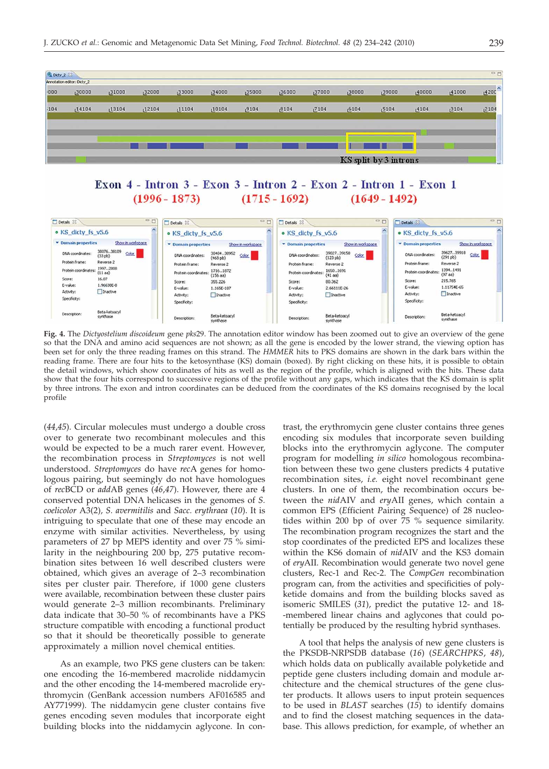

#### Exon 4 - Intron 3 - Exon 3 - Intron 2 - Exon 2 - Intron 1 - Exon 1  $(1996 - 1873)$  $(1715 - 1692)$  $(1649 - 1492)$



**Fig. 4.** The *Dictyostelium discoideum* gene *pks*29. The annotation editor window has been zoomed out to give an overview of the gene so that the DNA and amino acid sequences are not shown; as all the gene is encoded by the lower strand, the viewing option has been set for only the three reading frames on this strand. The *HMMER* hits to PKS domains are shown in the dark bars within the reading frame. There are four hits to the ketosynthase (KS) domain (boxed). By right clicking on these hits, it is possible to obtain the detail windows, which show coordinates of hits as well as the region of the profile, which is aligned with the hits. These data show that the four hits correspond to successive regions of the profile without any gaps, which indicates that the KS domain is split by three introns. The exon and intron coordinates can be deduced from the coordinates of the KS domains recognised by the local profile

(*44*,*45*). Circular molecules must undergo a double cross over to generate two recombinant molecules and this would be expected to be a much rarer event. However, the recombination process in *Streptomyces* is not well understood. *Streptomyces* do have *rec*A genes for homologous pairing, but seemingly do not have homologues of *rec*BCD or *add*AB genes (*46*,*47*). However, there are 4 conserved potential DNA helicases in the genomes of *S. coelicolor* A3(2)*, S. avermitilis* and *Sacc. erythraea* (*10*). It is intriguing to speculate that one of these may encode an enzyme with similar activities. Nevertheless, by using parameters of 27 bp MEPS identity and over 75 % similarity in the neighbouring 200 bp, 275 putative recombination sites between 16 well described clusters were obtained, which gives an average of 2–3 recombination sites per cluster pair. Therefore, if 1000 gene clusters were available, recombination between these cluster pairs would generate 2–3 million recombinants. Preliminary data indicate that 30–50 % of recombinants have a PKS structure compatible with encoding a functional product so that it should be theoretically possible to generate approximately a million novel chemical entities.

As an example, two PKS gene clusters can be taken: one encoding the 16-membered macrolide niddamycin and the other encoding the 14-membered macrolide erythromycin (GenBank accession numbers AF016585 and AY771999). The niddamycin gene cluster contains five genes encoding seven modules that incorporate eight building blocks into the niddamycin aglycone. In con-

trast, the erythromycin gene cluster contains three genes encoding six modules that incorporate seven building blocks into the erythromycin aglycone. The computer program for modelling *in silico* homologous recombination between these two gene clusters predicts 4 putative recombination sites, *i.e.* eight novel recombinant gene clusters. In one of them, the recombination occurs between the *nid*AIV and *ery*AII genes, which contain a common EPS (*E*fficient *P*airing *S*equence) of 28 nucleotides within 200 bp of over 75 % sequence similarity. The recombination program recognizes the start and the stop coordinates of the predicted EPS and localizes these within the KS6 domain of *nid*AIV and the KS3 domain of *ery*AII. Recombination would generate two novel gene clusters, Rec-1 and Rec-2. The *CompGen* recombination program can, from the activities and specificities of polyketide domains and from the building blocks saved as isomeric SMILES (*31*), predict the putative 12- and 18- -membered linear chains and aglycones that could potentially be produced by the resulting hybrid synthases.

A tool that helps the analysis of new gene clusters is the PKSDB-NRPSDB database (*16*) (*SEARCHPKS*, *48*), which holds data on publically available polyketide and peptide gene clusters including domain and module architecture and the chemical structures of the gene cluster products. It allows users to input protein sequences to be used in *BLAST* searches (*15*) to identify domains and to find the closest matching sequences in the database. This allows prediction, for example, of whether an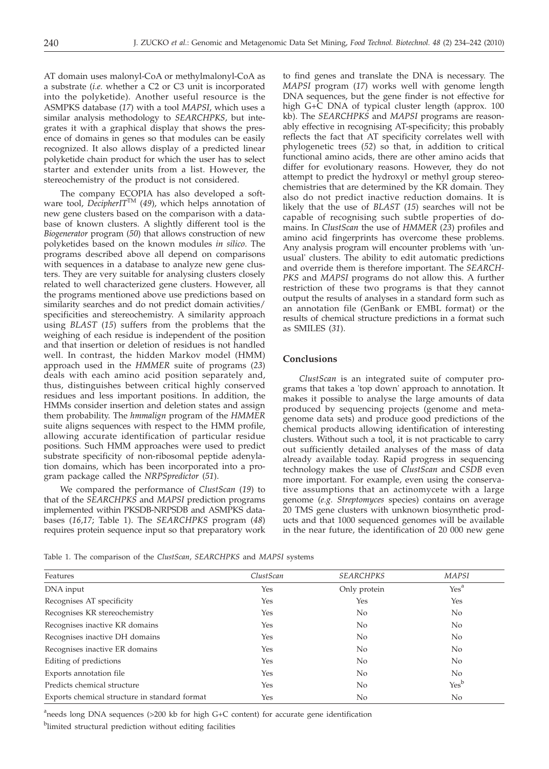AT domain uses malonyl-CoA or methylmalonyl-CoA as a substrate (*i.e.* whether a C2 or C3 unit is incorporated into the polyketide). Another useful resource is the ASMPKS database (*17*) with a tool *MAPSI*, which uses a similar analysis methodology to *SEARCHPKS*, but integrates it with a graphical display that shows the presence of domains in genes so that modules can be easily recognized. It also allows display of a predicted linear polyketide chain product for which the user has to select starter and extender units from a list. However, the stereochemistry of the product is not considered.

The company ECOPIA has also developed a software tool, *DecipherIT*TM (*49*), which helps annotation of new gene clusters based on the comparison with a database of known clusters. A slightly different tool is the *Biogenerator* program (*50*) that allows construction of new polyketides based on the known modules *in silico*. The programs described above all depend on comparisons with sequences in a database to analyze new gene clusters. They are very suitable for analysing clusters closely related to well characterized gene clusters. However, all the programs mentioned above use predictions based on similarity searches and do not predict domain activities/ specificities and stereochemistry. A similarity approach using *BLAST* (*15*) suffers from the problems that the weighing of each residue is independent of the position and that insertion or deletion of residues is not handled well. In contrast, the hidden Markov model (HMM) approach used in the *HMMER* suite of programs (*23*) deals with each amino acid position separately and, thus, distinguishes between critical highly conserved residues and less important positions. In addition, the HMMs consider insertion and deletion states and assign them probability. The *hmmalign* program of the *HMMER* suite aligns sequences with respect to the HMM profile, allowing accurate identification of particular residue positions. Such HMM approaches were used to predict substrate specificity of non-ribosomal peptide adenylation domains, which has been incorporated into a program package called the *NRPSpredictor* (*51*).

We compared the performance of *ClustScan* (*19*) to that of the *SEARCHPKS* and *MAPSI* prediction programs implemented within PKSDB-NRPSDB and ASMPKS databases (*16*,*17*; Table 1). The *SEARCHPKS* program (*48*) requires protein sequence input so that preparatory work

to find genes and translate the DNA is necessary. The *MAPSI* program (*17*) works well with genome length DNA sequences, but the gene finder is not effective for high G+C DNA of typical cluster length (approx. 100 kb). The *SEARCHPKS* and *MAPSI* programs are reasonably effective in recognising AT-specificity; this probably reflects the fact that AT specificity correlates well with phylogenetic trees (*52*) so that, in addition to critical functional amino acids, there are other amino acids that differ for evolutionary reasons. However, they do not attempt to predict the hydroxyl or methyl group stereochemistries that are determined by the KR domain. They also do not predict inactive reduction domains. It is likely that the use of *BLAST* (*15*) searches will not be capable of recognising such subtle properties of domains. In *ClustScan* the use of *HMMER* (*23*) profiles and amino acid fingerprints has overcome these problems. Any analysis program will encounter problems with 'unusual' clusters. The ability to edit automatic predictions and override them is therefore important. The *SEARCH-PKS* and *MAPSI* programs do not allow this. A further restriction of these two programs is that they cannot output the results of analyses in a standard form such as an annotation file (GenBank or EMBL format) or the results of chemical structure predictions in a format such as SMILES (*31*).

# **Conclusions**

*ClustScan* is an integrated suite of computer programs that takes a 'top down' approach to annotation. It makes it possible to analyse the large amounts of data produced by sequencing projects (genome and metagenome data sets) and produce good predictions of the chemical products allowing identification of interesting clusters. Without such a tool, it is not practicable to carry out sufficiently detailed analyses of the mass of data already available today. Rapid progress in sequencing technology makes the use of *ClustScan* and *CSDB* even more important. For example, even using the conservative assumptions that an actinomycete with a large genome (*e.g. Streptomyces* species) contains on average 20 TMS gene clusters with unknown biosynthetic products and that 1000 sequenced genomes will be available in the near future, the identification of 20 000 new gene

Table 1. The comparison of the *ClustScan*, *SEARCHPKS* and *MAPSI* systems

| Features                                      | ClustScan | <b>SEARCHPKS</b> | <b>MAPSI</b>     |
|-----------------------------------------------|-----------|------------------|------------------|
| DNA input                                     | Yes       | Only protein     | Yes <sup>a</sup> |
| Recognises AT specificity                     | Yes       | Yes              | Yes              |
| Recognises KR stereochemistry                 | Yes       | No.              | No               |
| Recognises inactive KR domains                | Yes       | No.              | No               |
| Recognises inactive DH domains                | Yes       | No.              | No               |
| Recognises inactive ER domains                | Yes       | No.              | No               |
| Editing of predictions                        | Yes       | No.              | No               |
| Exports annotation file                       | Yes       | No.              | No.              |
| Predicts chemical structure                   | Yes       | No.              | Yes <sup>b</sup> |
| Exports chemical structure in standard format | Yes       | No               | N <sub>o</sub>   |

<sup>a</sup>needs long DNA sequences (>200 kb for high G+C content) for accurate gene identification <sup>b</sup>limited structural prediction without editing facilities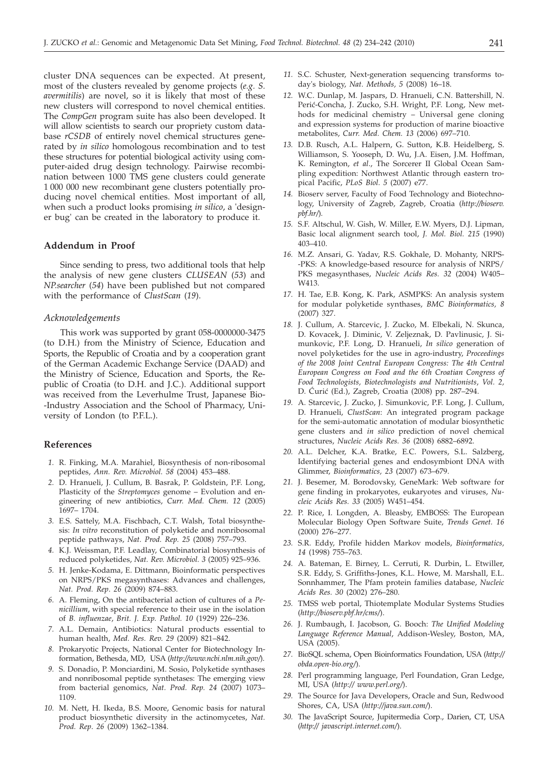cluster DNA sequences can be expected. At present, most of the clusters revealed by genome projects (*e.g. S. avermitilis*) are novel, so it is likely that most of these new clusters will correspond to novel chemical entities. The *CompGen* program suite has also been developed. It will allow scientists to search our propriety custom database *rCSDB* of entirely novel chemical structures generated by *in silico* homologous recombination and to test these structures for potential biological activity using computer-aided drug design technology. Pairwise recombination between 1000 TMS gene clusters could generate 1 000 000 new recombinant gene clusters potentially producing novel chemical entities. Most important of all, when such a product looks promising *in silico*, a 'designer bug' can be created in the laboratory to produce it.

# **Addendum in Proof**

Since sending to press, two additional tools that help the analysis of new gene clusters *CLUSEAN* (*53*) and *NP.searcher* (*54*) have been published but not compared with the performance of *ClustScan* (*19*).

### *Acknowledgements*

This work was supported by grant 058-0000000-3475 (to D.H.) from the Ministry of Science, Education and Sports, the Republic of Croatia and by a cooperation grant of the German Academic Exchange Service (DAAD) and the Ministry of Science, Education and Sports, the Republic of Croatia (to D.H. and J.C.). Additional support was received from the Leverhulme Trust, Japanese Bio- -Industry Association and the School of Pharmacy, University of London (to P.F.L.).

### **References**

- *1.* R. Finking, M.A. Marahiel, Biosynthesis of non-ribosomal peptides, *Ann. Rev. Microbiol. 58* (2004) 453–488.
- *2.* D. Hranueli, J. Cullum, B. Basrak, P. Goldstein, P.F. Long, Plasticity of the *Streptomyces* genome – Evolution and engineering of new antibiotics, *Curr. Med. Chem. 12* (2005) 1697– 1704.
- *3.* E.S. Sattely, M.A. Fischbach, C.T. Walsh, Total biosynthesis: *In vitro* reconstitution of polyketide and nonribosomal peptide pathways, *Nat. Prod. Rep. 25* (2008) 757–793.
- *4.* K.J. Weissman, P.F. Leadlay, Combinatorial biosynthesis of reduced polyketides, *Nat. Rev. Microbiol. 3* (2005) 925–936.
- *5.* H. Jenke-Kodama, E. Dittmann, Bioinformatic perspectives on NRPS/PKS megasynthases: Advances and challenges, *Nat. Prod. Rep*. *26* (2009) 874–883.
- *6.* A. Fleming, On the antibacterial action of cultures of a *Penicillium*, with special reference to their use in the isolation of *B. influenzae*, *Brit. J. Exp. Pathol. 10* (1929) 226–236.
- *7.* A.L. Demain, Antibiotics: Natural products essential to human health, *Med. Res. Rev*. *29* (2009) 821–842.
- *8.* Prokaryotic Projects, National Center for Biotechnology Information, Bethesda, MD, USA (*http://www.ncbi.nlm.nih.gov/*).
- *9.* S. Donadio, P. Monciardini, M. Sosio, Polyketide synthases and nonribosomal peptide synthetases: The emerging view from bacterial genomics, *Nat. Prod. Rep. 24* (2007) 1073– 1109.
- *10.* M. Nett, H. Ikeda, B.S. Moore, Genomic basis for natural product biosynthetic diversity in the actinomycetes, *Nat. Prod. Rep*. *26* (2009) 1362–1384.
- *11.* S.C. Schuster, Next-generation sequencing transforms today's biology, *Nat. Methods, 5* (2008) 16–18.
- *12.* W.C. Dunlap, M. Jaspars, D. Hranueli, C.N. Battershill, N. Perić-Concha, J. Zucko, S.H. Wright, P.F. Long, New methods for medicinal chemistry – Universal gene cloning and expression systems for production of marine bioactive metabolites, *Curr. Med. Chem. 13* (2006) 697–710.
- *13.* D.B. Rusch, A.L. Halpern, G. Sutton, K.B. Heidelberg, S. Williamson, S. Yooseph, D. Wu, J.A. Eisen, J.M. Hoffman, K. Remington, *et al*., The Sorcerer II Global Ocean Sampling expedition: Northwest Atlantic through eastern tropical Pacific, *PLoS Biol. 5* (2007) e77.
- *14.* Bioserv server, Faculty of Food Technology and Biotechnology, University of Zagreb, Zagreb, Croatia (*http://bioserv. pbf.hr/*)*.*
- *15.* S.F. Altschul, W. Gish, W. Miller, E.W. Myers, D.J. Lipman, Basic local alignment search tool, *J. Mol. Biol. 215* (1990) 403–410.
- *16.* M.Z. Ansari, G. Yadav, R.S. Gokhale, D. Mohanty, NRPS- -PKS: A knowledge-based resource for analysis of NRPS/ PKS megasynthases, *Nucleic Acids Res. 32* (2004) W405– W413.
- *17.* H. Tae, E.B. Kong, K. Park, ASMPKS: An analysis system for modular polyketide synthases, *BMC Bioinformatics, 8* (2007) 327.
- *18.* J. Cullum, A. Starcevic, J. Zucko, M. Elbekali, N. Skunca, D. Kovacek, J. Diminic, V. Zeljeznak, D. Pavlinusic, J. Simunkovic, P.F. Long, D. Hranueli, *In silico* generation of novel polyketides for the use in agro-industry, *Proceedings of the 2008 Joint Central European Congress: The 4th Central European Congress on Food and the 6th Croatian Congress of Food Technologists, Biotechnologists and Nutritionists*, *Vol. 2,* D. Ćurić (Ed.), Zagreb, Croatia (2008) pp. 287–294.
- *19.* A. Starcevic, J. Zucko, J. Simunkovic, P.F. Long, J. Cullum, D. Hranueli, *ClustScan*: An integrated program package for the semi-automatic annotation of modular biosynthetic gene clusters and *in silico* prediction of novel chemical structures, *Nucleic Acids Res. 36* (2008) 6882–6892.
- *20.* A.L. Delcher, K.A. Bratke, E.C. Powers, S.L. Salzberg, Identifying bacterial genes and endosymbiont DNA with Glimmer, *Bioinformatics, 23* (2007) 673–679.
- *21.* J. Besemer, M. Borodovsky, GeneMark: Web software for gene finding in prokaryotes, eukaryotes and viruses, *Nucleic Acids Res. 33* (2005) W451–454.
- *22.* P. Rice, I. Longden, A. Bleasby, EMBOSS: The European Molecular Biology Open Software Suite, *Trends Genet. 16* (2000) 276–277.
- *23.* S.R. Eddy, Profile hidden Markov models, *Bioinformatics, 14* (1998) 755–763.
- *24.* A. Bateman, E. Birney, L. Cerruti, R. Durbin, L. Etwiller, S.R. Eddy, S. Griffiths-Jones, K.L. Howe, M. Marshall, E.L. Sonnhammer, The Pfam protein families database, *Nucleic Acids Res. 30* (2002) 276–280.
- *25.* TMSS web portal, Thiotemplate Modular Systems Studies (*http://bioserv.pbf.hr/cms/*).
- *26.* J. Rumbaugh, I. Jacobson, G. Booch: *The Unified Modeling Language Reference Manual*, Addison-Wesley, Boston, MA, USA (2005).
- *27.* BioSQL schema, Open Bioinformatics Foundation, USA (*http:// obda.open-bio.org/*).
- *28.* Perl programming language, Perl Foundation, Gran Ledge, MI, USA (*http:// www.perl.org/*).
- *29.* The Source for Java Developers, Oracle and Sun, Redwood Shores, CA, USA (*http://java.sun.com/*).
- *30.* The JavaScript Source, Jupitermedia Corp., Darien, CT, USA (*http:// javascript.internet.com/*).